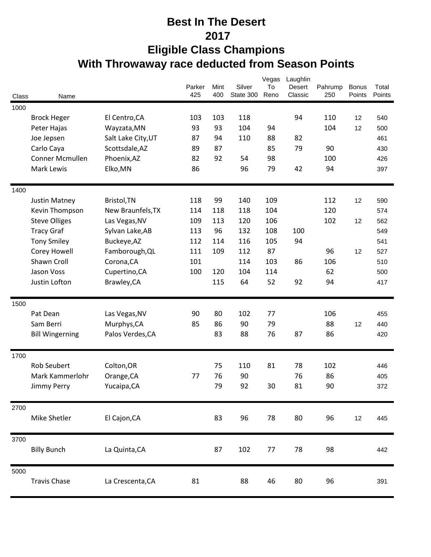## **Best In The Desert 2017 Eligible Class Champions With Throwaway race deducted from Season Points**

|       |                        |                    | Parker | Mint | Silver    | Vegas<br>To | Laughlin<br>Desert | Pahrump | <b>Bonus</b> | Total  |
|-------|------------------------|--------------------|--------|------|-----------|-------------|--------------------|---------|--------------|--------|
| Class | Name                   |                    | 425    | 400  | State 300 | Reno        | Classic            | 250     | Points       | Points |
| 1000  |                        |                    |        |      |           |             |                    |         |              |        |
|       | <b>Brock Heger</b>     | El Centro, CA      | 103    | 103  | 118       |             | 94                 | 110     | 12           | 540    |
|       | Peter Hajas            | Wayzata, MN        | 93     | 93   | 104       | 94          |                    | 104     | 12           | 500    |
|       | Joe Jepsen             | Salt Lake City, UT | 87     | 94   | 110       | 88          | 82                 |         |              | 461    |
|       | Carlo Caya             | Scottsdale, AZ     | 89     | 87   |           | 85          | 79                 | 90      |              | 430    |
|       | Conner Mcmullen        | Phoenix, AZ        | 82     | 92   | 54        | 98          |                    | 100     |              | 426    |
|       | Mark Lewis             | Elko, MN           | 86     |      | 96        | 79          | 42                 | 94      |              | 397    |
| 1400  |                        |                    |        |      |           |             |                    |         |              |        |
|       | Justin Matney          | Bristol, TN        | 118    | 99   | 140       | 109         |                    | 112     | 12           | 590    |
|       | Kevin Thompson         | New Braunfels, TX  | 114    | 118  | 118       | 104         |                    | 120     |              | 574    |
|       | <b>Steve Olliges</b>   | Las Vegas, NV      | 109    | 113  | 120       | 106         |                    | 102     | 12           | 562    |
|       | <b>Tracy Graf</b>      | Sylvan Lake, AB    | 113    | 96   | 132       | 108         | 100                |         |              | 549    |
|       | <b>Tony Smiley</b>     | Buckeye, AZ        | 112    | 114  | 116       | 105         | 94                 |         |              | 541    |
|       | Corey Howell           | Famborough, QL     | 111    | 109  | 112       | 87          |                    | 96      | 12           | 527    |
|       | Shawn Croll            | Corona, CA         | 101    |      | 114       | 103         | 86                 | 106     |              | 510    |
|       | Jason Voss             | Cupertino, CA      | 100    | 120  | 104       | 114         |                    | 62      |              | 500    |
|       | Justin Lofton          | Brawley, CA        |        | 115  | 64        | 52          | 92                 | 94      |              | 417    |
| 1500  |                        |                    |        |      |           |             |                    |         |              |        |
|       | Pat Dean               | Las Vegas, NV      | 90     | 80   | 102       | 77          |                    | 106     |              | 455    |
|       | Sam Berri              | Murphys, CA        | 85     | 86   | 90        | 79          |                    | 88      | 12           | 440    |
|       | <b>Bill Wingerning</b> | Palos Verdes, CA   |        | 83   | 88        | 76          | 87                 | 86      |              | 420    |
|       |                        |                    |        |      |           |             |                    |         |              |        |
| 1700  |                        |                    |        |      |           |             |                    |         |              |        |
|       | <b>Rob Seubert</b>     | Colton, OR         |        | 75   | 110       | 81          | 78                 | 102     |              | 446    |
|       | Mark Kammerlohr        | Orange, CA         | 77     | 76   | 90        |             | 76                 | 86      |              | 405    |
|       | Jimmy Perry            | Yucaipa, CA        |        | 79   | 92        | 30          | 81                 | 90      |              | 372    |
| 2700  |                        |                    |        |      |           |             |                    |         |              |        |
|       | Mike Shetler           | El Cajon, CA       |        | 83   | 96        | 78          | 80                 | 96      | 12           | 445    |
| 3700  |                        |                    |        |      |           |             |                    |         |              |        |
|       | <b>Billy Bunch</b>     | La Quinta, CA      |        | 87   | 102       | 77          | 78                 | 98      |              | 442    |
| 5000  |                        |                    |        |      |           |             |                    |         |              |        |
|       | <b>Travis Chase</b>    | La Crescenta, CA   | 81     |      | 88        | 46          | 80                 | 96      |              | 391    |